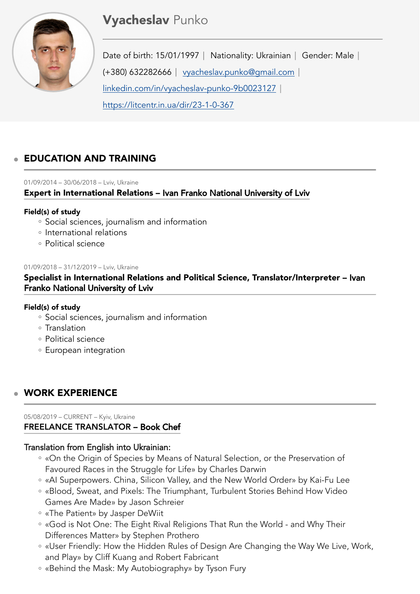# **Vyacheslav Punko**



Date of birth: 15/01/1997 | Nationality: Ukrainian | Gender: Male | (+380) 632282666 [vyacheslav.punko@gmail.com](mailto:vyacheslav.punko@gmail.com)  [linkedin.com/in/vyacheslav-punko-9b0023127](http://linkedin.com/in/vyacheslav-punko-9b0023127)  <https://litcentr.in.ua/dir/23-1-0-367>

## EDUCATION AND TRAINING

#### 01/09/2014 – 30/06/2018 – Lviv, Ukraine

Expert in International Relations – Ivan Franko National University of Lviv

#### Field(s) of study

- Social sciences, journalism and information
- International relations
- Political science ◦

#### 01/09/2018 – 31/12/2019 – Lviv, Ukraine

Specialist in International Relations and Political Science, Translator/Interpreter – Ivan Franko National University of Lviv

#### Field(s) of study

- Social sciences, journalism and information
- Translation
- Political science ◦
- European integration

## WORK EXPERIENCE

#### 05/08/2019 – CURRENT – Kyiv, Ukraine FREELANCE TRANSLATOR – Book Chef

## Translation from English into Ukrainian:

- «On the Origin of Species by Means of Natural Selection, or the Preservation of Favoured Races in the Struggle for Life» by Charles Darwin
- «AI Superpowers. China, Silicon Valley, and the New World Order» by Kai-Fu Lee ◦
- «Blood, Sweat, and Pixels: The Triumphant, Turbulent Stories Behind How Video Games Are Made» by Jason Schreier
- «The Patient» by Jasper DeWiit ◦
- «God is Not One: The Eight Rival Religions That Run the World and Why Their Differences Matter» by Stephen Prothero
- «User Friendly: How the Hidden Rules of Design Are Changing the Way We Live, Work, and Play» by Cliff Kuang and Robert Fabricant
- «Behind the Mask: My Autobiography» by Tyson Fury ◦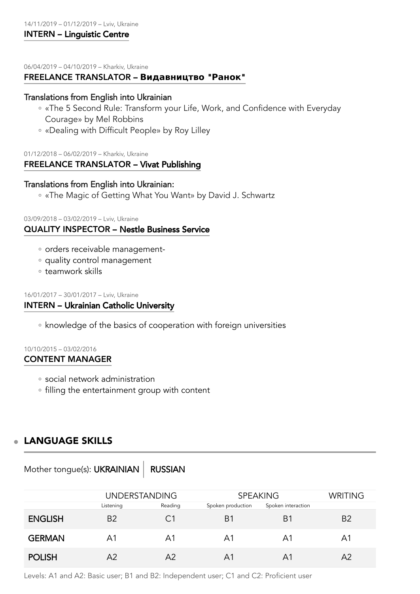06/04/2019 – 04/10/2019 – Kharkiv, Ukraine

#### FREELANCE TRANSLATOR – **Видавництво** "**Ранок**"

#### Translations from English into Ukrainian

- «The 5 Second Rule: Transform your Life, Work, and Confidence with Everyday Courage» by Mel Robbins
- «Dealing with Difficult People» by Roy Lilley ◦

#### 01/12/2018 – 06/02/2019 – Kharkiv, Ukraine FREELANCE TRANSLATOR – Vivat Publishing

#### Translations from English into Ukrainian:

«The Magic of Getting What You Want» by David J. Schwartz ◦

#### 03/09/2018 – 03/02/2019 – Lviv, Ukraine

#### QUALITY INSPECTOR – Nestle Business Service

- orders receivable management-
- quality control management
- teamwork skills ◦

#### 16/01/2017 – 30/01/2017 – Lviv, Ukraine INTERN – Ukrainian Catholic University

◦ knowledge of the basics of cooperation with foreign universities

## 10/10/2015 – 03/02/2016

#### CONTENT MANAGER

- social network administration
- filling the entertainment group with content

## LANGUAGE SKILLS

Mother tongue(s): UKRAINIAN | RUSSIAN

|                | <b>UNDERSTANDING</b> |         | <b>SPEAKING</b>   |                    | <b>WRITING</b> |
|----------------|----------------------|---------|-------------------|--------------------|----------------|
|                | Listening            | Reading | Spoken production | Spoken interaction |                |
| <b>ENGLISH</b> | <b>B2</b>            | C1      | B1                | B1                 | B <sub>2</sub> |
| <b>GERMAN</b>  | A1                   | Α1      | Α1                | Α1                 | A1             |
| <b>POLISH</b>  | A2                   | A2      | Α1                | Α1                 | A2             |

Levels: A1 and A2: Basic user; B1 and B2: Independent user; C1 and C2: Proficient user